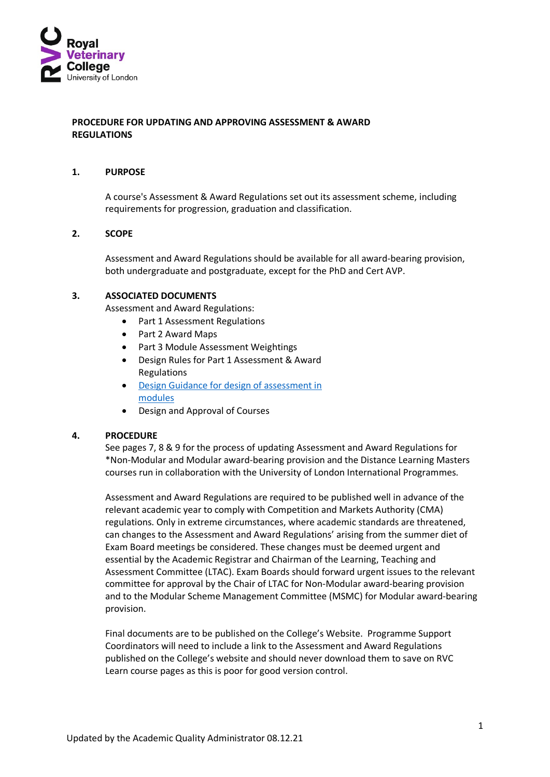

## **PROCEDURE FOR UPDATING AND APPROVING ASSESSMENT & AWARD REGULATIONS**

#### **1. PURPOSE**

A course's Assessment & Award Regulations set out its assessment scheme, including requirements for progression, graduation and classification.

#### **2. SCOPE**

Assessment and Award Regulations should be available for all award-bearing provision, both undergraduate and postgraduate, except for the PhD and Cert AVP.

### **3. ASSOCIATED DOCUMENTS**

Assessment and Award Regulations:

- Part 1 Assessment Regulations
- Part 2 Award Maps
- Part 3 Module Assessment Weightings
- Design Rules for Part 1 Assessment & Award Regulations
- [Design Guidance](https://www.rvc.ac.uk/Media/Default/About/Academic%20Quality,%20Regulations%20and%20Procedures/Examiners%20and%20Assessment/Assessment%20Rules%20-%20Guidance%20for%20design%20of%20assessment%20in%20modules%20PDF_310316.pdf) for design of assessment in [modules](https://www.rvc.ac.uk/Media/Default/About/Academic%20Quality,%20Regulations%20and%20Procedures/Examiners%20and%20Assessment/Assessment%20Rules%20-%20Guidance%20for%20design%20of%20assessment%20in%20modules%20PDF_310316.pdf)
- Design and Approval of Courses

#### **4. PROCEDURE**

See pages 7, 8 & 9 for the process of updating Assessment and Award Regulations for \*Non-Modular and Modular award-bearing provision and the Distance Learning Masters courses run in collaboration with the University of London International Programmes.

Assessment and Award Regulations are required to be published well in advance of the relevant academic year to comply with Competition and Markets Authority (CMA) regulations. Only in extreme circumstances, where academic standards are threatened, can changes to the Assessment and Award Regulations' arising from the summer diet of Exam Board meetings be considered. These changes must be deemed urgent and essential by the Academic Registrar and Chairman of the Learning, Teaching and Assessment Committee (LTAC). Exam Boards should forward urgent issues to the relevant committee for approval by the Chair of LTAC for Non-Modular award-bearing provision and to the Modular Scheme Management Committee (MSMC) for Modular award-bearing provision.

Final documents are to be published on the College's Website. Programme Support Coordinators will need to include a link to the Assessment and Award Regulations published on the College's website and should never download them to save on RVC Learn course pages as this is poor for good version control.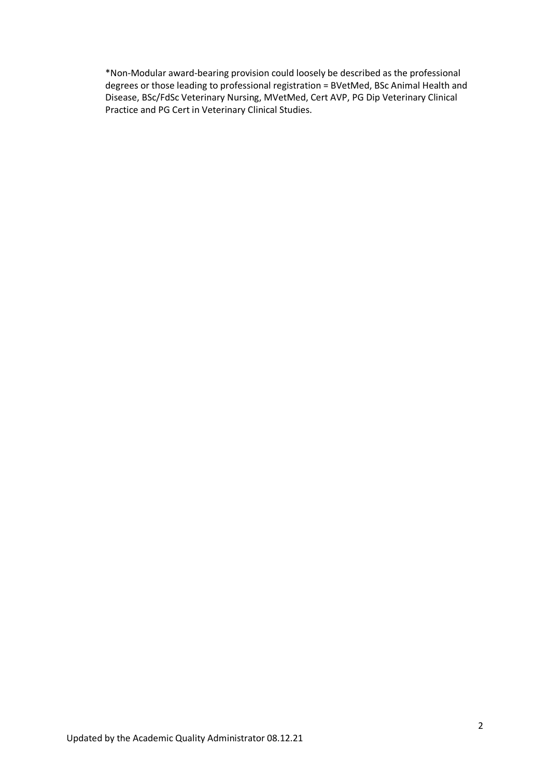\*Non-Modular award-bearing provision could loosely be described as the professional degrees or those leading to professional registration = BVetMed, BSc Animal Health and Disease, BSc/FdSc Veterinary Nursing, MVetMed, Cert AVP, PG Dip Veterinary Clinical Practice and PG Cert in Veterinary Clinical Studies.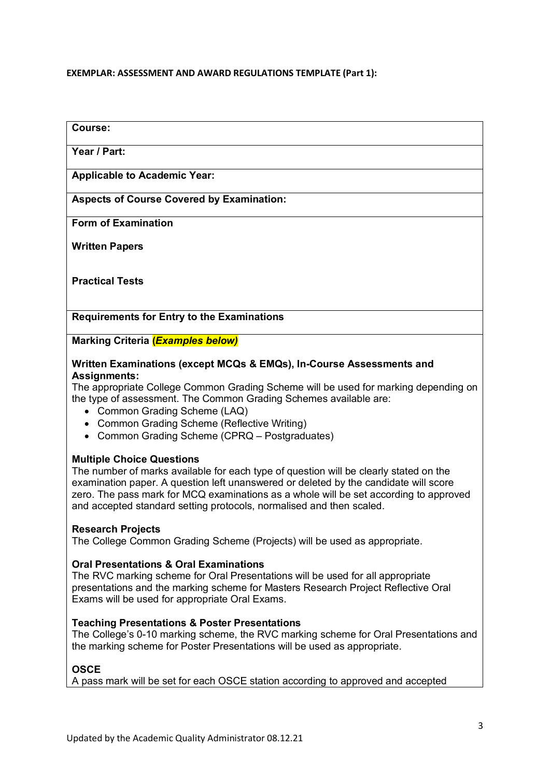## **EXEMPLAR: ASSESSMENT AND AWARD REGULATIONS TEMPLATE (Part 1):**

# **Year / Part: Applicable to Academic Year: Aspects of Course Covered by Examination: Form of Examination Written Papers Practical Tests**

**Requirements for Entry to the Examinations**

**Marking Criteria (***Examples below)*

# **Written Examinations (except MCQs & EMQs), In-Course Assessments and Assignments:**

The appropriate College Common Grading Scheme will be used for marking depending on the type of assessment. The Common Grading Schemes available are:

- Common Grading Scheme (LAQ)
- Common Grading Scheme (Reflective Writing)
- Common Grading Scheme (CPRQ Postgraduates)

# **Multiple Choice Questions**

The number of marks available for each type of question will be clearly stated on the examination paper. A question left unanswered or deleted by the candidate will score zero. The pass mark for MCQ examinations as a whole will be set according to approved and accepted standard setting protocols, normalised and then scaled.

# **Research Projects**

**Course:**

The College Common Grading Scheme (Projects) will be used as appropriate.

# **Oral Presentations & Oral Examinations**

The RVC marking scheme for Oral Presentations will be used for all appropriate presentations and the marking scheme for Masters Research Project Reflective Oral Exams will be used for appropriate Oral Exams.

## **Teaching Presentations & Poster Presentations**

The College's 0-10 marking scheme, the RVC marking scheme for Oral Presentations and the marking scheme for Poster Presentations will be used as appropriate.

# **OSCE**

A pass mark will be set for each OSCE station according to approved and accepted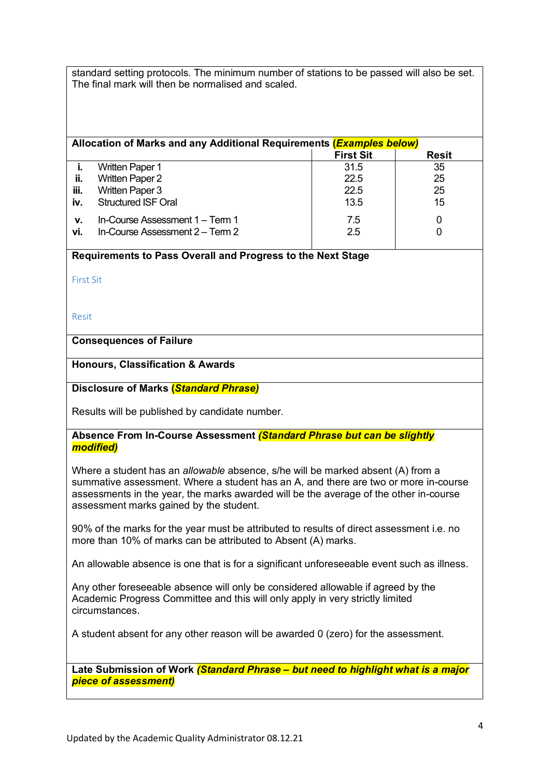standard setting protocols. The minimum number of stations to be passed will also be set. The final mark will then be normalised and scaled.

| Allocation of Marks and any Additional Requirements ( <b>Examples below</b> ) |                                                                    |                  |              |  |  |
|-------------------------------------------------------------------------------|--------------------------------------------------------------------|------------------|--------------|--|--|
|                                                                               |                                                                    | <b>First Sit</b> | <b>Resit</b> |  |  |
|                                                                               | <b>Written Paper 1</b>                                             | 31.5             | 35           |  |  |
| ii.                                                                           | <b>Written Paper 2</b>                                             | 22.5             | 25           |  |  |
| iii.                                                                          | <b>Written Paper 3</b>                                             | 22.5             | 25           |  |  |
| iv.                                                                           | <b>Structured ISF Oral</b>                                         | 13.5             | 15           |  |  |
| v.<br>vi.                                                                     | In-Course Assessment 1 - Term 1<br>In-Course Assessment 2 – Term 2 | 7.5<br>2.5       | 0            |  |  |

## **Requirements to Pass Overall and Progress to the Next Stage**

First Sit

Resit

# **Consequences of Failure**

## **Honours, Classification & Awards**

## **Disclosure of Marks (***Standard Phrase)*

Results will be published by candidate number.

## **Absence From In-Course Assessment** *(Standard Phrase but can be slightly modified)*

Where a student has an *allowable* absence, s/he will be marked absent (A) from a summative assessment. Where a student has an A, and there are two or more in-course assessments in the year, the marks awarded will be the average of the other in-course assessment marks gained by the student.

90% of the marks for the year must be attributed to results of direct assessment i.e. no more than 10% of marks can be attributed to Absent (A) marks.

An allowable absence is one that is for a significant unforeseeable event such as illness.

Any other foreseeable absence will only be considered allowable if agreed by the Academic Progress Committee and this will only apply in very strictly limited circumstances.

A student absent for any other reason will be awarded 0 (zero) for the assessment.

**Late Submission of Work** *(Standard Phrase – but need to highlight what is a major piece of assessment)*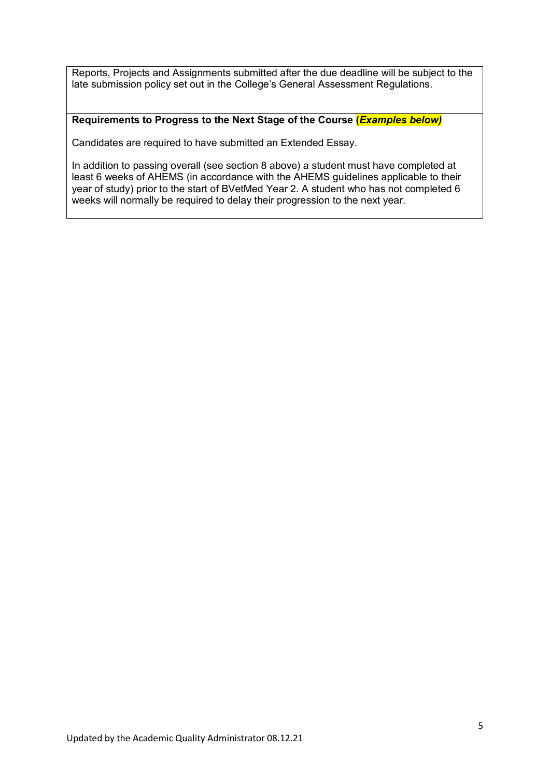Reports, Projects and Assignments submitted after the due deadline will be subject to the late submission policy set out in the College's General Assessment Regulations.

## **Requirements to Progress to the Next Stage of the Course (***Examples below)*

Candidates are required to have submitted an Extended Essay.

In addition to passing overall (see section 8 above) a student must have completed at least 6 weeks of AHEMS (in accordance with the AHEMS guidelines applicable to their year of study) prior to the start of BVetMed Year 2. A student who has not completed 6 weeks will normally be required to delay their progression to the next year.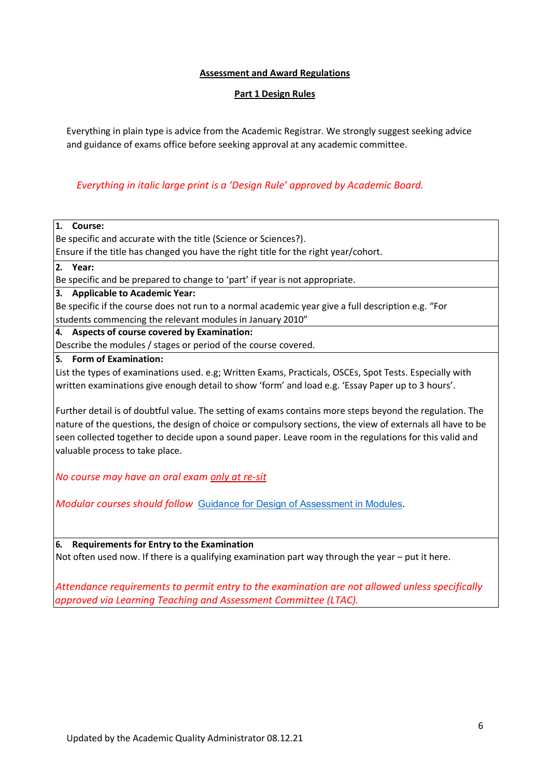## **Assessment and Award Regulations**

## **Part 1 Design Rules**

Everything in plain type is advice from the Academic Registrar. We strongly suggest seeking advice and guidance of exams office before seeking approval at any academic committee.

# *Everything in italic large print is a 'Design Rule' approved by Academic Board.*

## **1. Course:**

Be specific and accurate with the title (Science or Sciences?).

Ensure if the title has changed you have the right title for the right year/cohort.

## **2. Year:**

Be specific and be prepared to change to 'part' if year is not appropriate.

**3. Applicable to Academic Year:**

Be specific if the course does not run to a normal academic year give a full description e.g. "For students commencing the relevant modules in January 2010"

**4. Aspects of course covered by Examination:**

Describe the modules / stages or period of the course covered.

**5. Form of Examination:**

List the types of examinations used. e.g; Written Exams, Practicals, OSCEs, Spot Tests. Especially with written examinations give enough detail to show 'form' and load e.g. 'Essay Paper up to 3 hours'.

Further detail is of doubtful value. The setting of exams contains more steps beyond the regulation. The nature of the questions, the design of choice or compulsory sections, the view of externals all have to be seen collected together to decide upon a sound paper. Leave room in the regulations for this valid and valuable process to take place.

*No course may have an oral exam only at re-sit*

*Modular courses should follow* Guidance [for Design of Assessment in Modules](http://www.rvc.ac.uk/Media/Default/About/Academic%20Quality,%20Regulations%20and%20Procedures/Examiners%20and%20Assessment/Assessment%20Rules%20-%20Guidance%20for%20design%20of%20assessment%20in%20modules%20PDF_310316.pdf).

**6. Requirements for Entry to the Examination**

Not often used now. If there is a qualifying examination part way through the year – put it here.

*Attendance requirements to permit entry to the examination are not allowed unless specifically approved via Learning Teaching and Assessment Committee (LTAC).*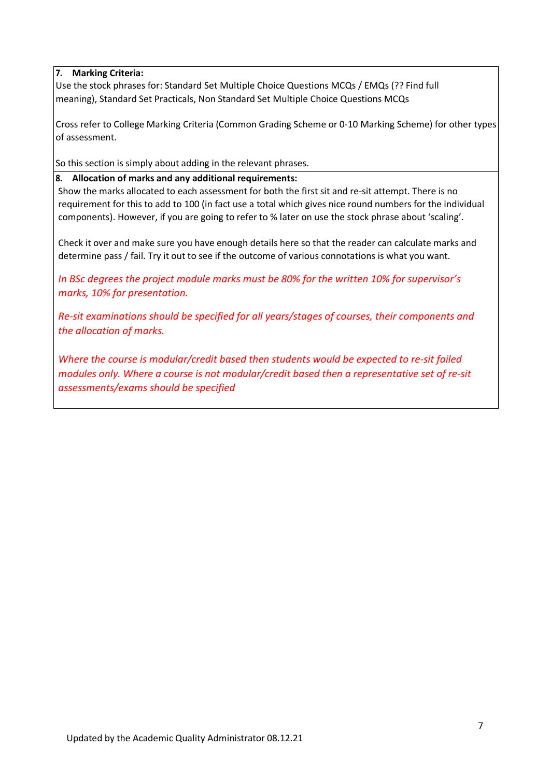# **7. Marking Criteria:**

Use the stock phrases for: Standard Set Multiple Choice Questions MCQs / EMQs (?? Find full meaning), Standard Set Practicals, Non Standard Set Multiple Choice Questions MCQs

Cross refer to College Marking Criteria (Common Grading Scheme or 0-10 Marking Scheme) for other types of assessment.

So this section is simply about adding in the relevant phrases.

## **8. Allocation of marks and any additional requirements:**

Show the marks allocated to each assessment for both the first sit and re-sit attempt. There is no requirement for this to add to 100 (in fact use a total which gives nice round numbers for the individual components). However, if you are going to refer to % later on use the stock phrase about 'scaling'.

Check it over and make sure you have enough details here so that the reader can calculate marks and determine pass / fail. Try it out to see if the outcome of various connotations is what you want.

*In BSc degrees the project module marks must be 80% for the written 10% for supervisor's marks, 10% for presentation.*

*Re-sit examinations should be specified for all years/stages of courses, their components and the allocation of marks.* 

*Where the course is modular/credit based then students would be expected to re-sit failed modules only. Where a course is not modular/credit based then a representative set of re-sit assessments/exams should be specified*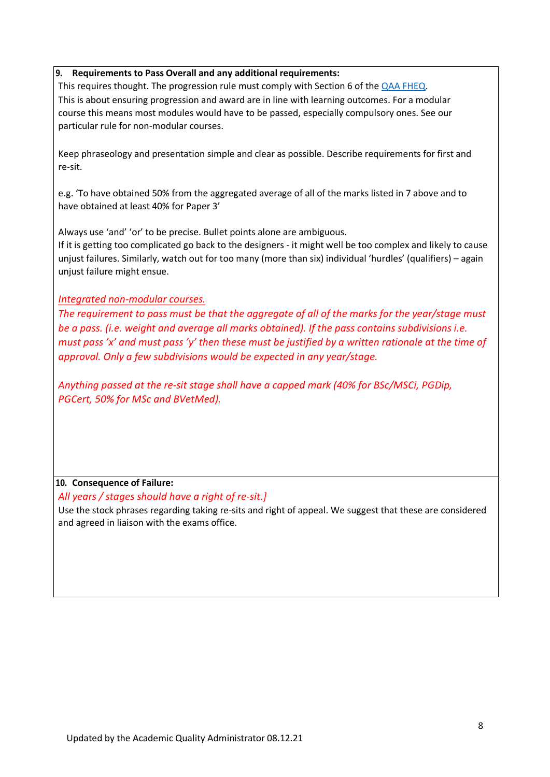## **9. Requirements to Pass Overall and any additional requirements:**

This requires thought. The progression rule must comply with Section 6 of the [QAA FHEQ.](https://www.qaa.ac.uk/quality-code/qualifications-frameworks) This is about ensuring progression and award are in line with learning outcomes. For a modular course this means most modules would have to be passed, especially compulsory ones. See our particular rule for non-modular courses.

Keep phraseology and presentation simple and clear as possible. Describe requirements for first and re-sit.

e.g. 'To have obtained 50% from the aggregated average of all of the marks listed in 7 above and to have obtained at least 40% for Paper 3'

Always use 'and' 'or' to be precise. Bullet points alone are ambiguous.

If it is getting too complicated go back to the designers - it might well be too complex and likely to cause unjust failures. Similarly, watch out for too many (more than six) individual 'hurdles' (qualifiers) – again unjust failure might ensue.

## *Integrated non-modular courses.*

*The requirement to pass must be that the aggregate of all of the marks for the year/stage must be a pass. (i.e. weight and average all marks obtained). If the pass contains subdivisions i.e. must pass 'x' and must pass 'y' then these must be justified by a written rationale at the time of approval. Only a few subdivisions would be expected in any year/stage.*

*Anything passed at the re-sit stage shall have a capped mark (40% for BSc/MSCi, PGDip, PGCert, 50% for MSc and BVetMed).*

# **10. Consequence of Failure:**

*All years / stages should have a right of re-sit.]* Use the stock phrases regarding taking re-sits and right of appeal. We suggest that these are considered and agreed in liaison with the exams office.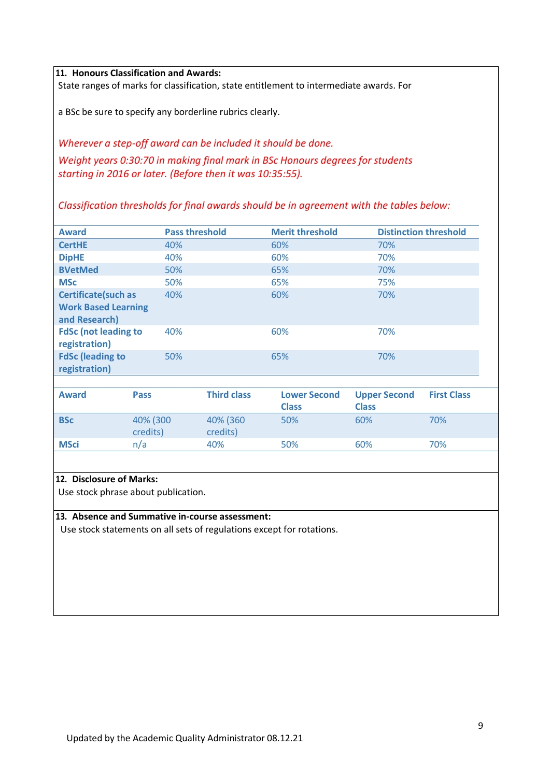**11. Honours Classification and Awards:**

State ranges of marks for classification, state entitlement to intermediate awards. For

a BSc be sure to specify any borderline rubrics clearly.

*Wherever a step-off award can be included it should be done. Weight years 0:30:70 in making final mark in BSc Honours degrees for students starting in 2016 or later. (Before then it was 10:35:55).*

*Classification thresholds for final awards should be in agreement with the tables below:*

| <b>Award</b>                                                       | <b>Pass threshold</b> | <b>Merit threshold</b> | <b>Distinction threshold</b> |
|--------------------------------------------------------------------|-----------------------|------------------------|------------------------------|
| <b>CertHE</b>                                                      | 40%                   | 60%                    | 70%                          |
| <b>DipHE</b>                                                       | 40%                   | 60%                    | 70%                          |
| <b>BVetMed</b>                                                     | 50%                   | 65%                    | 70%                          |
| <b>MSc</b>                                                         | 50%                   | 65%                    | 75%                          |
| Certificate(such as<br><b>Work Based Learning</b><br>and Research) | 40%                   | 60%                    | 70%                          |
| <b>FdSc (not leading to</b><br>registration)                       | 40%                   | 60%                    | 70%                          |
| <b>FdSc (leading to</b><br>registration)                           | 50%                   | 65%                    | 70%                          |

| <b>Award</b> | <b>Pass</b>          | <b>Third class</b>   | <b>Lower Second</b><br><b>Class</b> | <b>Upper Second</b><br><b>Class</b> | <b>First Class</b> |
|--------------|----------------------|----------------------|-------------------------------------|-------------------------------------|--------------------|
| <b>BSc</b>   | 40% (300<br>credits) | 40% (360<br>credits) | 50%                                 | 60%                                 | 70%                |
| <b>MSci</b>  | n/a                  | 40%                  | 50%                                 | 60%                                 | 70%                |

### **12. Disclosure of Marks:**

Use stock phrase about publication.

#### **13. Absence and Summative in-course assessment:**

Use stock statements on all sets of regulations except for rotations.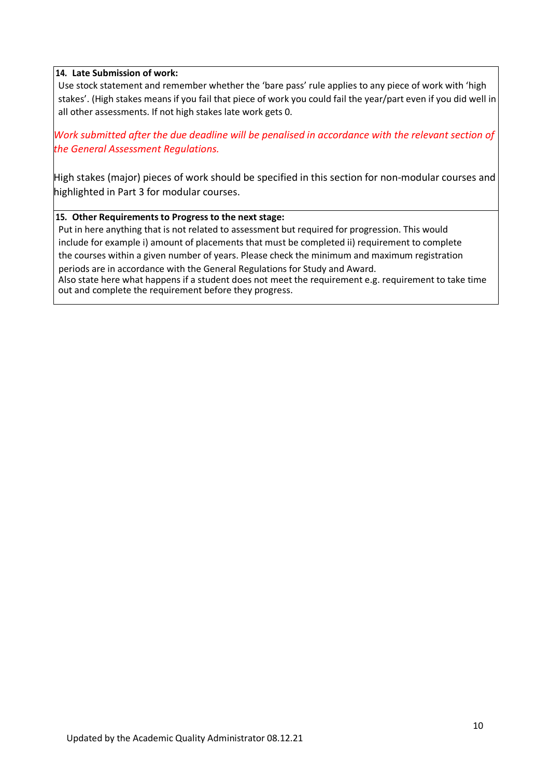## **14. Late Submission of work:**

Use stock statement and remember whether the 'bare pass' rule applies to any piece of work with 'high stakes'. (High stakes means if you fail that piece of work you could fail the year/part even if you did well in all other assessments. If not high stakes late work gets 0.

Work submitted after the due deadline will be penalised in accordance with the relevant section of *the General Assessment Regulations.* 

High stakes (major) pieces of work should be specified in this section for non-modular courses and highlighted in Part 3 for modular courses.

## **15. Other Requirements to Progress to the next stage:**

Put in here anything that is not related to assessment but required for progression. This would include for example i) amount of placements that must be completed ii) requirement to complete the courses within a given number of years. Please check the minimum and maximum registration

periods are in accordance with the General Regulations for Study and Award. Also state here what happens if a student does not meet the requirement e.g. requirement to take time

out and complete the requirement before they progress.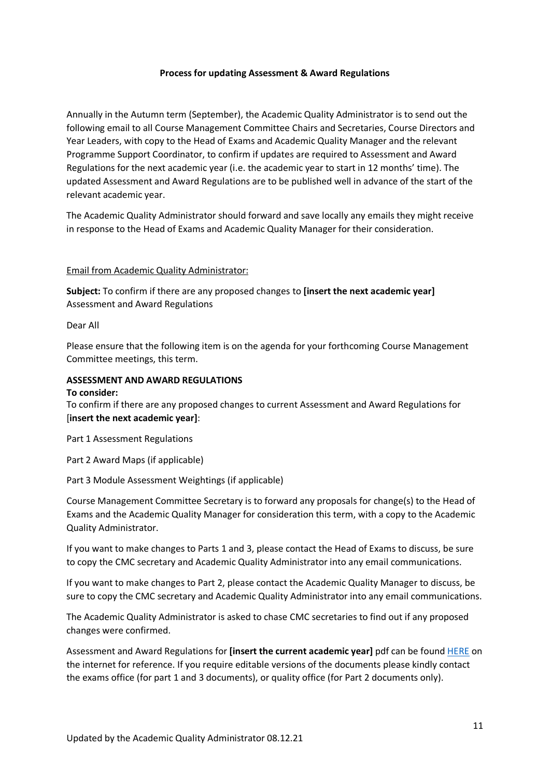#### **Process for updating Assessment & Award Regulations**

Annually in the Autumn term (September), the Academic Quality Administrator is to send out the following email to all Course Management Committee Chairs and Secretaries, Course Directors and Year Leaders, with copy to the Head of Exams and Academic Quality Manager and the relevant Programme Support Coordinator, to confirm if updates are required to Assessment and Award Regulations for the next academic year (i.e. the academic year to start in 12 months' time). The updated Assessment and Award Regulations are to be published well in advance of the start of the relevant academic year.

The Academic Quality Administrator should forward and save locally any emails they might receive in response to the Head of Exams and Academic Quality Manager for their consideration.

#### Email from Academic Quality Administrator:

**Subject:** To confirm if there are any proposed changes to **[insert the next academic year]**  Assessment and Award Regulations

#### Dear All

Please ensure that the following item is on the agenda for your forthcoming Course Management Committee meetings, this term.

# **ASSESSMENT AND AWARD REGULATIONS**

#### **To consider:**

To confirm if there are any proposed changes to current Assessment and Award Regulations for [**insert the next academic year]**:

Part 1 Assessment Regulations

Part 2 Award Maps (if applicable)

#### Part 3 Module Assessment Weightings (if applicable)

Course Management Committee Secretary is to forward any proposals for change(s) to the Head of Exams and the Academic Quality Manager for consideration this term, with a copy to the Academic Quality Administrator.

If you want to make changes to Parts 1 and 3, please contact the Head of Exams to discuss, be sure to copy the CMC secretary and Academic Quality Administrator into any email communications.

If you want to make changes to Part 2, please contact the Academic Quality Manager to discuss, be sure to copy the CMC secretary and Academic Quality Administrator into any email communications.

The Academic Quality Administrator is asked to chase CMC secretaries to find out if any proposed changes were confirmed.

Assessment and Award Regulations for **[insert the current academic year]** pdf can be found [HERE](https://www.rvc.ac.uk/about/the-rvc/academic-quality-regulations-procedures#panel-taught-course-regulations-current) on the internet for reference. If you require editable versions of the documents please kindly contact the exams office (for part 1 and 3 documents), or quality office (for Part 2 documents only).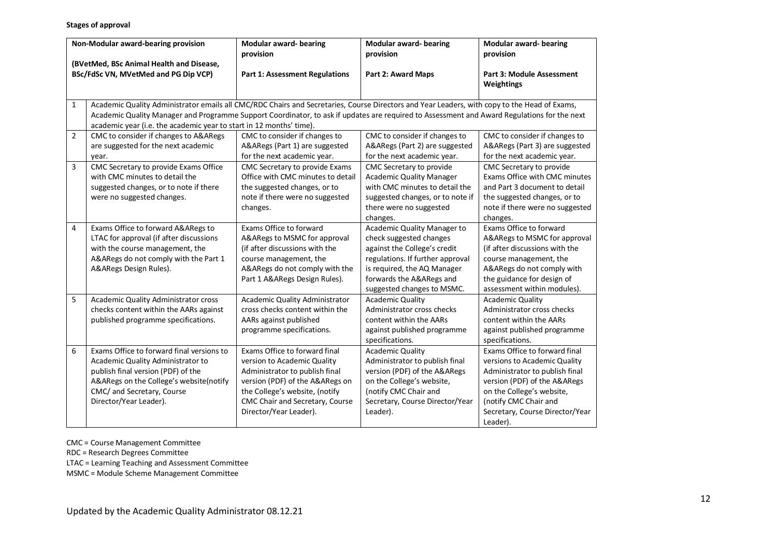#### **Stages of approval**

| Non-Modular award-bearing provision<br>(BVetMed, BSc Animal Health and Disease,<br>BSc/FdSc VN, MVetMed and PG Dip VCP) |                |                                                                                                                                                                                                                                                                                                                                                                    | <b>Modular award-bearing</b><br>provision                                                                                                                                                                                        | Modular award-bearing<br>provision                                                                                                                                                                                  | <b>Modular award-bearing</b><br>provision                                                                                                                                                                                            |
|-------------------------------------------------------------------------------------------------------------------------|----------------|--------------------------------------------------------------------------------------------------------------------------------------------------------------------------------------------------------------------------------------------------------------------------------------------------------------------------------------------------------------------|----------------------------------------------------------------------------------------------------------------------------------------------------------------------------------------------------------------------------------|---------------------------------------------------------------------------------------------------------------------------------------------------------------------------------------------------------------------|--------------------------------------------------------------------------------------------------------------------------------------------------------------------------------------------------------------------------------------|
|                                                                                                                         |                |                                                                                                                                                                                                                                                                                                                                                                    | <b>Part 1: Assessment Regulations</b>                                                                                                                                                                                            | Part 2: Award Maps                                                                                                                                                                                                  | Part 3: Module Assessment<br>Weightings                                                                                                                                                                                              |
|                                                                                                                         | $\mathbf{1}$   | Academic Quality Administrator emails all CMC/RDC Chairs and Secretaries, Course Directors and Year Leaders, with copy to the Head of Exams,<br>Academic Quality Manager and Programme Support Coordinator, to ask if updates are required to Assessment and Award Regulations for the next<br>academic year (i.e. the academic year to start in 12 months' time). |                                                                                                                                                                                                                                  |                                                                                                                                                                                                                     |                                                                                                                                                                                                                                      |
|                                                                                                                         | $\overline{2}$ | CMC to consider if changes to A&ARegs<br>are suggested for the next academic<br>year.                                                                                                                                                                                                                                                                              | CMC to consider if changes to<br>A&ARegs (Part 1) are suggested<br>for the next academic year.                                                                                                                                   | CMC to consider if changes to<br>A&ARegs (Part 2) are suggested<br>for the next academic year.                                                                                                                      | CMC to consider if changes to<br>A&ARegs (Part 3) are suggested<br>for the next academic year.                                                                                                                                       |
|                                                                                                                         | 3              | CMC Secretary to provide Exams Office<br>with CMC minutes to detail the<br>suggested changes, or to note if there<br>were no suggested changes.                                                                                                                                                                                                                    | CMC Secretary to provide Exams<br>Office with CMC minutes to detail<br>the suggested changes, or to<br>note if there were no suggested<br>changes.                                                                               | CMC Secretary to provide<br><b>Academic Quality Manager</b><br>with CMC minutes to detail the<br>suggested changes, or to note if<br>there were no suggested<br>changes.                                            | CMC Secretary to provide<br>Exams Office with CMC minutes<br>and Part 3 document to detail<br>the suggested changes, or to<br>note if there were no suggested<br>changes.                                                            |
|                                                                                                                         | 4              | Exams Office to forward A&ARegs to<br>LTAC for approval (if after discussions<br>with the course management, the<br>A&ARegs do not comply with the Part 1<br>A&ARegs Design Rules).                                                                                                                                                                                | Exams Office to forward<br>A&ARegs to MSMC for approval<br>(if after discussions with the<br>course management, the<br>A&ARegs do not comply with the<br>Part 1 A&ARegs Design Rules).                                           | Academic Quality Manager to<br>check suggested changes<br>against the College's credit<br>regulations. If further approval<br>is required, the AQ Manager<br>forwards the A&ARegs and<br>suggested changes to MSMC. | Exams Office to forward<br>A&ARegs to MSMC for approval<br>(if after discussions with the<br>course management, the<br>A&ARegs do not comply with<br>the guidance for design of<br>assessment within modules).                       |
|                                                                                                                         | 5              | Academic Quality Administrator cross<br>checks content within the AARs against<br>published programme specifications.                                                                                                                                                                                                                                              | Academic Quality Administrator<br>cross checks content within the<br>AARs against published<br>programme specifications.                                                                                                         | <b>Academic Quality</b><br>Administrator cross checks<br>content within the AARs<br>against published programme<br>specifications.                                                                                  | <b>Academic Quality</b><br>Administrator cross checks<br>content within the AARs<br>against published programme<br>specifications.                                                                                                   |
|                                                                                                                         | 6              | Exams Office to forward final versions to<br>Academic Quality Administrator to<br>publish final version (PDF) of the<br>A&ARegs on the College's website(notify<br>CMC/ and Secretary, Course<br>Director/Year Leader).                                                                                                                                            | Exams Office to forward final<br>version to Academic Quality<br>Administrator to publish final<br>version (PDF) of the A&ARegs on<br>the College's website, (notify<br>CMC Chair and Secretary, Course<br>Director/Year Leader). | <b>Academic Quality</b><br>Administrator to publish final<br>version (PDF) of the A&ARegs<br>on the College's website,<br>(notify CMC Chair and<br>Secretary, Course Director/Year<br>Leader).                      | Exams Office to forward final<br>versions to Academic Quality<br>Administrator to publish final<br>version (PDF) of the A&ARegs<br>on the College's website,<br>(notify CMC Chair and<br>Secretary, Course Director/Year<br>Leader). |

CMC = Course Management Committee

RDC = Research Degrees Committee

LTAC = Learning Teaching and Assessment Committee

MSMC = Module Scheme Management Committee